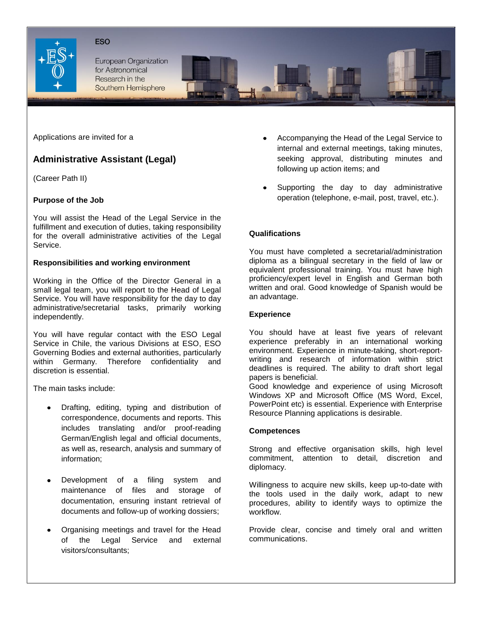

**ESO** 

European Organization for Astronomical Research in the Southern Hemisphere

Applications are invited for a

# **Administrative Assistant (Legal)**

(Career Path II)

## **Purpose of the Job**

You will assist the Head of the Legal Service in the fulfillment and execution of duties, taking responsibility for the overall administrative activities of the Legal Service.

## **Responsibilities and working environment**

Working in the Office of the Director General in a small legal team, you will report to the Head of Legal Service. You will have responsibility for the day to day administrative/secretarial tasks, primarily working independently.

You will have regular contact with the ESO Legal Service in Chile, the various Divisions at ESO, ESO Governing Bodies and external authorities, particularly within Germany. Therefore confidentiality and discretion is essential.

The main tasks include:

- Drafting, editing, typing and distribution of correspondence, documents and reports. This includes translating and/or proof-reading German/English legal and official documents, as well as, research, analysis and summary of information;
- Development of a filing system and maintenance of files and storage of documentation, ensuring instant retrieval of documents and follow-up of working dossiers;
- Organising meetings and travel for the Head of the Legal Service and external visitors/consultants;
- Accompanying the Head of the Legal Service to internal and external meetings, taking minutes, seeking approval, distributing minutes and following up action items; and
- Supporting the day to day administrative operation (telephone, e-mail, post, travel, etc.).

## **Qualifications**

You must have completed a secretarial/administration diploma as a bilingual secretary in the field of law or equivalent professional training. You must have high proficiency/expert level in English and German both written and oral. Good knowledge of Spanish would be an advantage.

## **Experience**

You should have at least five years of relevant experience preferably in an international working environment. Experience in minute-taking, short-reportwriting and research of information within strict deadlines is required. The ability to draft short legal papers is beneficial.

Good knowledge and experience of using Microsoft Windows XP and Microsoft Office (MS Word, Excel, PowerPoint etc) is essential. Experience with Enterprise Resource Planning applications is desirable.

#### **Competences**

Strong and effective organisation skills, high level commitment, attention to detail, discretion and diplomacy.

Willingness to acquire new skills, keep up-to-date with the tools used in the daily work, adapt to new procedures, ability to identify ways to optimize the workflow.

Provide clear, concise and timely oral and written communications.